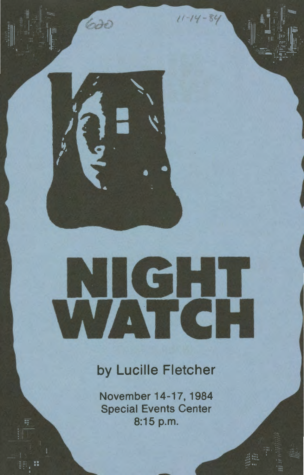# **IGHT**  TI SH

 $11 - 14 - 84$ 

620

## by Lucille Fletcher

November 14-17, 1984 Special Events Center 8:15 p.m.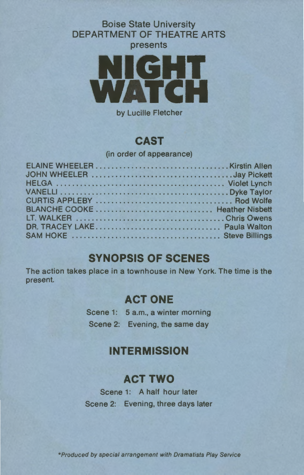#### Boise State University DEPARTMENT OF THEATRE ARTS presents



by Lucille Fletcher

#### **CAST**

(in order of appearance)

#### **SYNOPSIS OF SCENES**

The action takes place in a townhouse in New York. The time is the present.

#### **ACT ONE**

Scene 1: 5 a.m., a winter morning Scene 2: Evening, the same day

## **INTERMISSION**

### **ACT TWO**

Scene 1: A half hour later Scene 2: Evening, three days later

\*Produced by special arrangement with Dramatists Play Service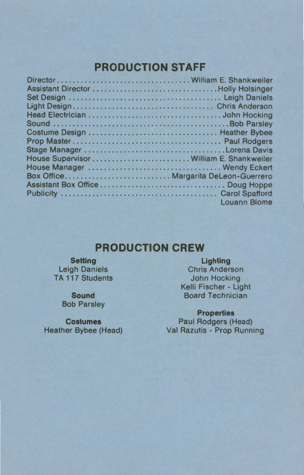### **PRODUCTION STAFF**

| Stage Manager Lorena Davis               |                     |
|------------------------------------------|---------------------|
| House Supervisor  William E. Shankweiler |                     |
|                                          |                     |
| Box Office Margarita DeLeon-Guerrero     |                     |
|                                          |                     |
|                                          |                     |
|                                          | <b>Louann Blome</b> |

#### **PRODUCTION CREW**

#### **SeHing**  Leigh Daniels TA 117 Students

**Sound**  Bob Parsley

**Costumes**  Heather Bybee (Head)

**Lighting**  Chris Anderson John Hocking Kelli Fischer - Light Board Technician

**Properties**  Paul Rodgers (Head) Val Razutis - Prop Running